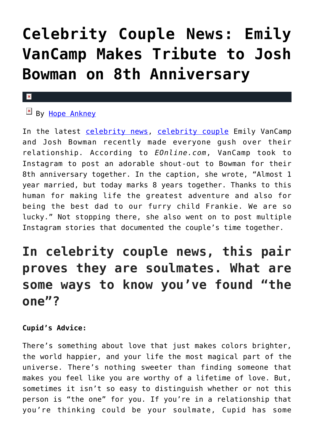# **[Celebrity Couple News: Emily](https://cupidspulse.com/133682/celebrity-couple-news-emily-vancamp-josh-bowman-8th-anniversary/) [VanCamp Makes Tribute to Josh](https://cupidspulse.com/133682/celebrity-couple-news-emily-vancamp-josh-bowman-8th-anniversary/) [Bowman on 8th Anniversary](https://cupidspulse.com/133682/celebrity-couple-news-emily-vancamp-josh-bowman-8th-anniversary/)**

#### ×

### $By$  [Hope Ankney](http://cupidspulse.com/132970/hope-ankney/)

In the latest [celebrity news,](http://cupidspulse.com/celebrity-news/) [celebrity couple](http://cupidspulse.com/celebrity-news/celebrity-dating/) Emily VanCamp and Josh Bowman recently made everyone gush over their relationship. According to *EOnline.com*, VanCamp took to Instagram to post an adorable shout-out to Bowman for their 8th anniversary together. In the caption, she wrote, "Almost 1 year married, but today marks 8 years together. Thanks to this human for making life the greatest adventure and also for being the best dad to our furry child Frankie. We are so lucky." Not stopping there, she also went on to post multiple Instagram stories that documented the couple's time together.

### **In celebrity couple news, this pair proves they are soulmates. What are some ways to know you've found "the one"?**

#### **Cupid's Advice:**

There's something about love that just makes colors brighter, the world happier, and your life the most magical part of the universe. There's nothing sweeter than finding someone that makes you feel like you are worthy of a lifetime of love. But, sometimes it isn't so easy to distinguish whether or not this person is "the one" for you. If you're in a relationship that you're thinking could be your soulmate, Cupid has some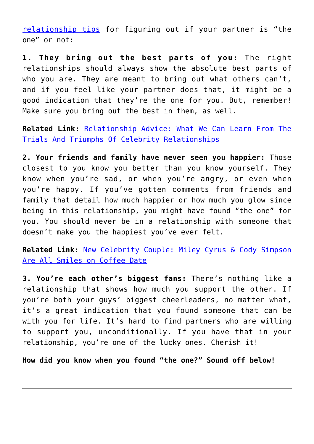[relationship tips](http://cupidspulse.com/love/relationship-advice-articles/) for figuring out if your partner is "the one" or not:

**1. They bring out the best parts of you:** The right relationships should always show the absolute best parts of who you are. They are meant to bring out what others can't, and if you feel like your partner does that, it might be a good indication that they're the one for you. But, remember! Make sure you bring out the best in them, as well.

**Related Link:** [Relationship Advice: What We Can Learn From The](http://cupidspulse.com/131445/relationship-advice-toxic-relationships/) [Trials And Triumphs Of Celebrity Relationships](http://cupidspulse.com/131445/relationship-advice-toxic-relationships/)

**2. Your friends and family have never seen you happier:** Those closest to you know you better than you know yourself. They know when you're sad, or when you're angry, or even when you're happy. If you've gotten comments from friends and family that detail how much happier or how much you glow since being in this relationship, you might have found "the one" for you. You should never be in a relationship with someone that doesn't make you the happiest you've ever felt.

**Related Link:** [New Celebrity Couple: Miley Cyrus & Cody Simpson](http://cupidspulse.com/133505/new-celebrity-couple-miley-cyrus-cody-simpson-coffee-date/) [Are All Smiles on Coffee Date](http://cupidspulse.com/133505/new-celebrity-couple-miley-cyrus-cody-simpson-coffee-date/)

**3. You're each other's biggest fans:** There's nothing like a relationship that shows how much you support the other. If you're both your guys' biggest cheerleaders, no matter what, it's a great indication that you found someone that can be with you for life. It's hard to find partners who are willing to support you, unconditionally. If you have that in your relationship, you're one of the lucky ones. Cherish it!

**How did you know when you found "the one?" Sound off below!**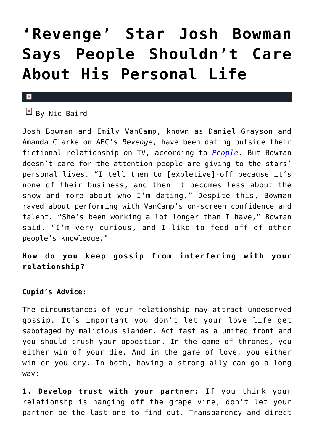### **['Revenge' Star Josh Bowman](https://cupidspulse.com/38901/revenge-josh-bowman-wants-back-his-personal-life/) [Says People Shouldn't Care](https://cupidspulse.com/38901/revenge-josh-bowman-wants-back-his-personal-life/) [About His Personal Life](https://cupidspulse.com/38901/revenge-josh-bowman-wants-back-his-personal-life/)**

#### $\pmb{\times}$

 $\boxed{\triangle}$  By Nic Baird

Josh Bowman and Emily VanCamp, known as Daniel Grayson and Amanda Clarke on ABC's *Revenge*, have been dating outside their fictional relationship on TV, according to *[People](http://www.people.com/people/article/0,,20634926,00.html)*. But Bowman doesn't care for the attention people are giving to the stars' personal lives. "I tell them to [expletive]-off because it's none of their business, and then it becomes less about the show and more about who I'm dating." Despite this, Bowman raved about performing with VanCamp's on-screen confidence and talent. "She's been working a lot longer than I have," Bowman said. "I'm very curious, and I like to feed off of other people's knowledge."

**How do you keep gossip from interfering with your relationship?**

#### **Cupid's Advice:**

The circumstances of your relationship may attract undeserved gossip. It's important you don't let your love life get sabotaged by malicious slander. Act fast as a united front and you should crush your oppostion. In the game of thrones, you either win of your die. And in the game of love, you either win or you cry. In both, having a strong ally can go a long way:

**1. Develop trust with your partner:** If you think your relationshp is hanging off the grape vine, don't let your partner be the last one to find out. Transparency and direct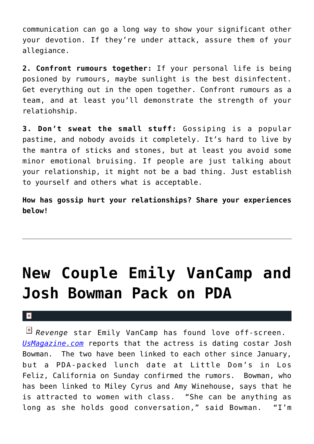communication can go a long way to show your significant other your devotion. If they're under attack, assure them of your allegiance.

**2. Confront rumours together:** If your personal life is being posioned by rumours, maybe sunlight is the best disinfectent. Get everything out in the open together. Confront rumours as a team, and at least you'll demonstrate the strength of your relatiohship.

**3. Don't sweat the small stuff:** Gossiping is a popular pastime, and nobody avoids it completely. It's hard to live by the mantra of sticks and stones, but at least you avoid some minor emotional bruising. If people are just talking about your relationship, it might not be a bad thing. Just establish to yourself and others what is acceptable.

**How has gossip hurt your relationships? Share your experiences below!**

## **[New Couple Emily VanCamp and](https://cupidspulse.com/26644/new-couple-revenge-costars-emily-vancamp-josh-bowman-pda-lunch-date/) [Josh Bowman Pack on PDA](https://cupidspulse.com/26644/new-couple-revenge-costars-emily-vancamp-josh-bowman-pda-lunch-date/)**

#### $\mathbf{R}$

*Revenge* star Emily VanCamp has found love off-screen. *[UsMagazine.com](http://www.usmagazine.com/celebrity-news/news/josh-bowman-packs-on-pda-with-revenge-costar-emily-vancamp-201212)* reports that the actress is dating costar Josh Bowman. The two have been linked to each other since January, but a PDA-packed lunch date at Little Dom's in Los Feliz, California on Sunday confirmed the rumors. Bowman, who has been linked to Miley Cyrus and Amy Winehouse, says that he is attracted to women with class. "She can be anything as long as she holds good conversation," said Bowman. "I'm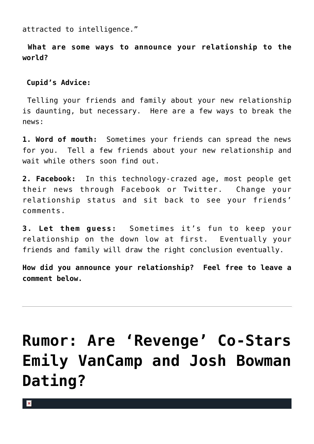attracted to intelligence."

**What are some ways to announce your relationship to the world?**

#### **Cupid's Advice:**

Telling your friends and family about your new relationship is daunting, but necessary. Here are a few ways to break the news:

**1. Word of mouth:** Sometimes your friends can spread the news for you. Tell a few friends about your new relationship and wait while others soon find out.

**2. Facebook:** In this technology-crazed age, most people get their news through Facebook or Twitter. Change your relationship status and sit back to see your friends' comments.

**3. Let them guess:** Sometimes it's fun to keep your relationship on the down low at first. Eventually your friends and family will draw the right conclusion eventually.

**How did you announce your relationship? Feel free to leave a comment below.**

## **[Rumor: Are 'Revenge' Co-Stars](https://cupidspulse.com/26127/rumor-revenge-co-stars-emily-vancamp-josh-bowman-dating-new-couple/) [Emily VanCamp and Josh Bowman](https://cupidspulse.com/26127/rumor-revenge-co-stars-emily-vancamp-josh-bowman-dating-new-couple/) [Dating?](https://cupidspulse.com/26127/rumor-revenge-co-stars-emily-vancamp-josh-bowman-dating-new-couple/)**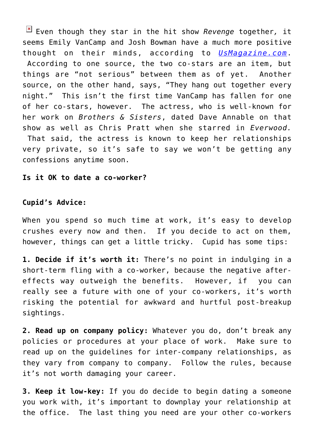Even though they star in the hit show *Revenge* together*,* it seems Emily VanCamp and Josh Bowman have a much more positive thought on their minds, according to *[UsMagazine.com](http://www.usmagazine.com/celebrity-news/news/revenges-emily-vancamp-dating-costar-josh-bowman-2012251)*. According to one source, the two co-stars are an item, but things are "not serious" between them as of yet. Another source, on the other hand, says, "They hang out together every night." This isn't the first time VanCamp has fallen for one of her co-stars, however. The actress, who is well-known for her work on *Brothers & Sisters*, dated Dave Annable on that show as well as Chris Pratt when she starred in *Everwood.* That said, the actress is known to keep her relationships very private, so it's safe to say we won't be getting any confessions anytime soon.

#### **Is it OK to date a co-worker?**

#### **Cupid's Advice:**

When you spend so much time at work, it's easy to develop crushes every now and then. If you decide to act on them, however, things can get a little tricky. Cupid has some tips:

**1. Decide if it's worth it:** There's no point in indulging in a short-term fling with a co-worker, because the negative aftereffects way outweigh the benefits. However, if you can really see a future with one of your co-workers, it's worth risking the potential for awkward and hurtful post-breakup sightings.

**2. Read up on company policy:** Whatever you do, don't break any policies or procedures at your place of work. Make sure to read up on the guidelines for inter-company relationships, as they vary from company to company. Follow the rules, because it's not worth damaging your career.

**3. Keep it low-key:** If you do decide to begin dating a someone you work with, it's important to downplay your relationship at the office. The last thing you need are your other co-workers